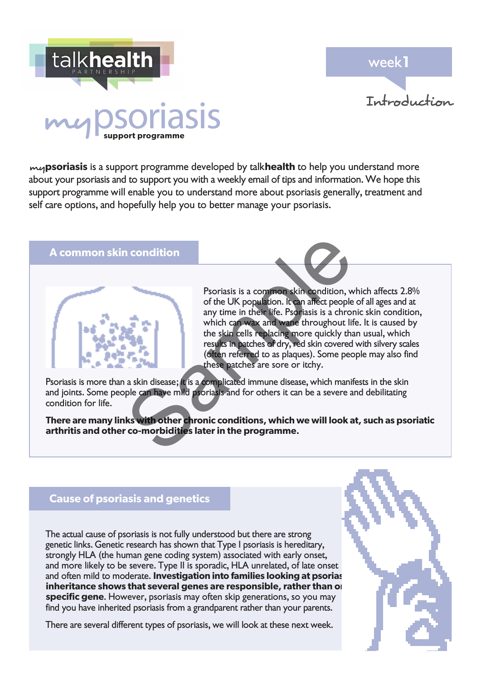week**1**



# talkhealth iasis

my**psoriasis** is a support programme developed by talk**health** to help you understand more about your psoriasis and to support you with a weekly email of tips and information. We hope this support programme will enable you to understand more about psoriasis generally, treatment and self care options, and hopefully help you to better manage your psoriasis.

## **A common skin condition**



Psoriasis is a common skin condition, which affects 2.8% of the UK population. It can affect people of all ages and at any time in their life. Psoriasis is a chronic skin condition, which can wax and wane throughout life. It is caused by the skin cells replacing more quickly than usual, which results in patches of dry, red skin covered with silvery scales (often referred to as plaques). Some people may also find these patches are sore or itchy. Psoriasis is a common skin condition, word the UK population. It can affect people<br>any time in their life. Psoriasis is a chror which can wax and ware throughout lift<br>the skin cells replacing more quickly that<br>results in p

Psoriasis is more than a skin disease; it is a complicated immune disease, which manifests in the skin and joints. Some people can have mild psoriasis and for others it can be a severe and debilitating condition for life.

**There are many links with other chronic conditions, which we will look at, such as psoriatic arthritis and other co-morbidities later in the programme.**

# **Cause of psoriasis and genetics**

The actual cause of psoriasis is not fully understood but there are strong genetic links. Genetic research has shown that Type I psoriasis is hereditary, strongly HLA (the human gene coding system) associated with early onset, and more likely to be severe. Type II is sporadic, HLA unrelated, of late onset and often mild to moderate. Investigation into families looking at psorias inheritance shows that several genes are responsible, rather than on **specific gene**. However, psoriasis may often skip generations, so you may find you have inherited psoriasis from a grandparent rather than your parents.